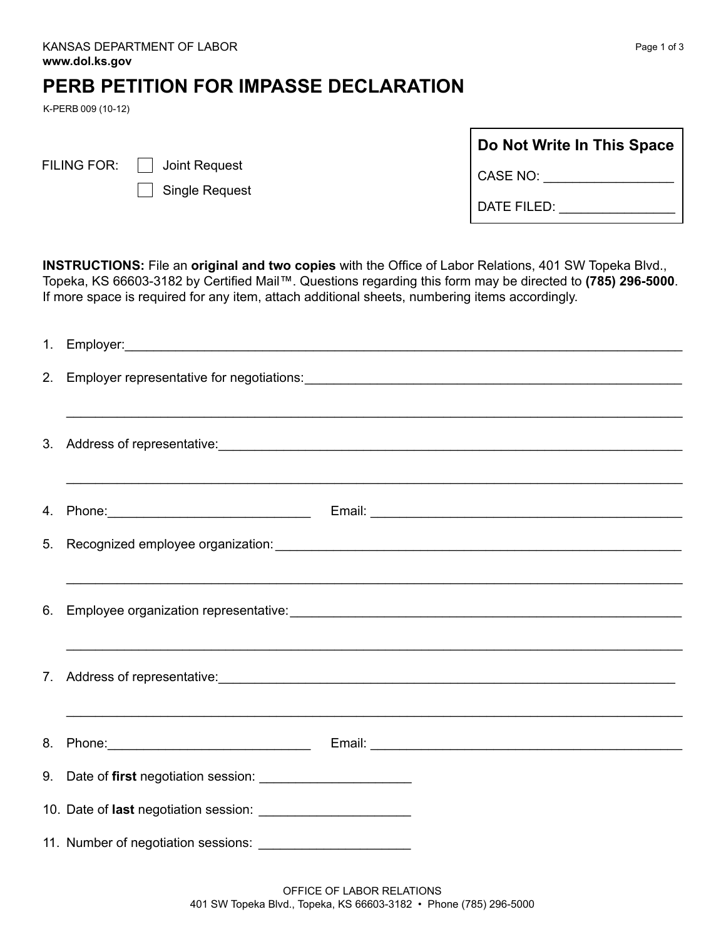## **PERB PETITION FOR IMPASSE DECLARATION**

K-PERB 009 (10-12)

- $\mathbb{R}^n$  Joint Request
	- Single Request

| Do Not Write In This Space |
|----------------------------|
| CASE NO:                   |
| DATE FILED:                |

**INSTRUCTIONS:** File an **original and two copies** with the Office of Labor Relations, 401 SW Topeka Blvd., Topeka, KS 66603-3182 by Certified Mail™. Questions regarding this form may be directed to **(785) 296-5000**. If more space is required for any item, attach additional sheets, numbering items accordingly.

| 1. Employer: 2008 2009 2010 2020 2021 2022 2023 2024 2022 2023 2024 2022 2023 2024 2022 2023 2024 2022 2023 20 |                                                                                  |
|----------------------------------------------------------------------------------------------------------------|----------------------------------------------------------------------------------|
|                                                                                                                |                                                                                  |
|                                                                                                                | ,我们也不能在这里的时候,我们也不能在这里的时候,我们也不能会在这里,我们也不能会不能会不能会不能会不能会不能会。""我们,我们也不能会不能会不能会不能会不能会 |
|                                                                                                                |                                                                                  |
|                                                                                                                |                                                                                  |
|                                                                                                                |                                                                                  |
|                                                                                                                |                                                                                  |
|                                                                                                                | ,我们也不能在这里的时候,我们也不能在这里的时候,我们也不能在这里的时候,我们也不能会不能在这里的时候,我们也不能会不能会不能会不能会不能会不能会不能会不能会不 |
|                                                                                                                |                                                                                  |
|                                                                                                                |                                                                                  |
|                                                                                                                |                                                                                  |
|                                                                                                                |                                                                                  |
|                                                                                                                |                                                                                  |
|                                                                                                                |                                                                                  |
|                                                                                                                |                                                                                  |
|                                                                                                                |                                                                                  |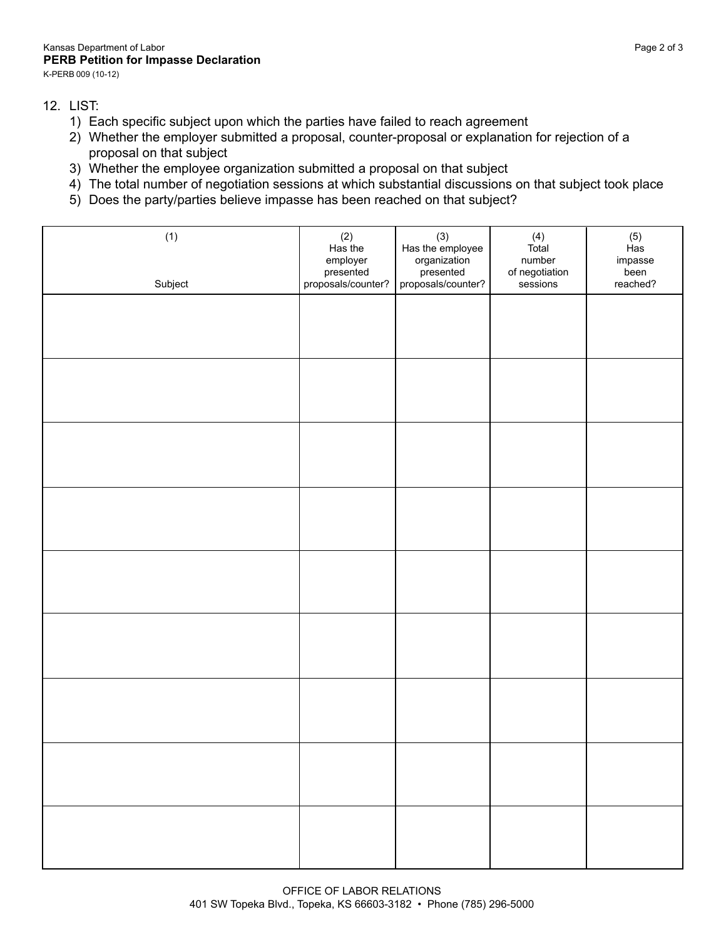K-PERB 009 (10-12)

## 12. LIST:

- 1) Each specific subject upon which the parties have failed to reach agreement
- 2) Whether the employer submitted a proposal, counter-proposal or explanation for rejection of a proposal on that subject
- 3) Whether the employee organization submitted a proposal on that subject
- 4) The total number of negotiation sessions at which substantial discussions on that subject took place
- 5) Does the party/parties believe impasse has been reached on that subject?

| (1)<br>Subject | $(2)$<br>Has the<br>employer<br>presented<br>proposals/counter? | $(3)$<br>Has the employee<br>organization<br>presented<br>proposals/counter? | $(4)$<br>Total<br>number<br>of negotiation<br>sessions | $(5)$<br>Has<br>impasse<br>been<br>reached? |
|----------------|-----------------------------------------------------------------|------------------------------------------------------------------------------|--------------------------------------------------------|---------------------------------------------|
|                |                                                                 |                                                                              |                                                        |                                             |
|                |                                                                 |                                                                              |                                                        |                                             |
|                |                                                                 |                                                                              |                                                        |                                             |
|                |                                                                 |                                                                              |                                                        |                                             |
|                |                                                                 |                                                                              |                                                        |                                             |
|                |                                                                 |                                                                              |                                                        |                                             |
|                |                                                                 |                                                                              |                                                        |                                             |
|                |                                                                 |                                                                              |                                                        |                                             |
|                |                                                                 |                                                                              |                                                        |                                             |